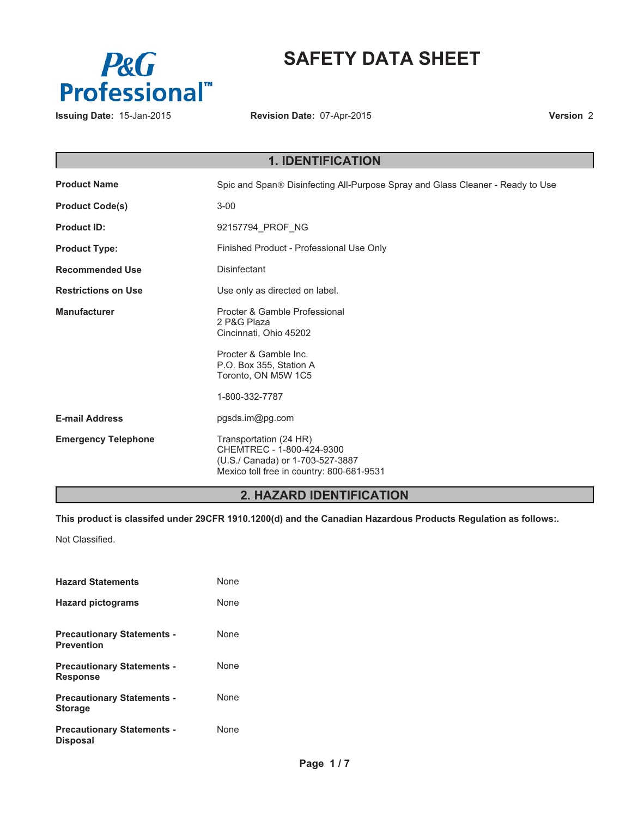

# **SAFETY DATA SHEET**

**Revision Date:** 07-Apr-2015

**Version** 2

# **1. IDENTIFICATION** Product Name **Shipper Act Act Act Span-** Spic and Span<sup>®</sup> Disinfecting All-Purpose Spray and Glass Cleaner - Ready to Use **Product Code(s)** 3-00 **Product ID:** 92157794\_PROF\_NG **Product Type:** Finished Product - Professional Use Only **Recommended Use** Disinfectant **Restrictions on Use Community Community** Use only as directed on label. **Manufacturer** Procter & Gamble Professional 2 P&G Plaza Cincinnati, Ohio 45202 Procter & Gamble Inc. P.O. Box 355, Station A Toronto, ON M5W 1C5 1-800-332-7787 **E-mail Address** pgsds.im@pg.com **Emergency Telephone** Transportation (24 HR) CHEMTREC - 1-800-424-9300 (U.S./ Canada) or 1-703-527-3887 Mexico toll free in country: 800-681-9531

# **2. HAZARD IDENTIFICATION**

**This product is classifed under 29CFR 1910.1200(d) and the Canadian Hazardous Products Regulation as follows:.**

Not Classified.

| <b>Hazard Statements</b>                               | None |
|--------------------------------------------------------|------|
| <b>Hazard pictograms</b>                               | None |
| <b>Precautionary Statements -</b><br><b>Prevention</b> | None |
| <b>Precautionary Statements -</b><br><b>Response</b>   | None |
| <b>Precautionary Statements -</b><br><b>Storage</b>    | None |
| <b>Precautionary Statements -</b><br>Disposal          | None |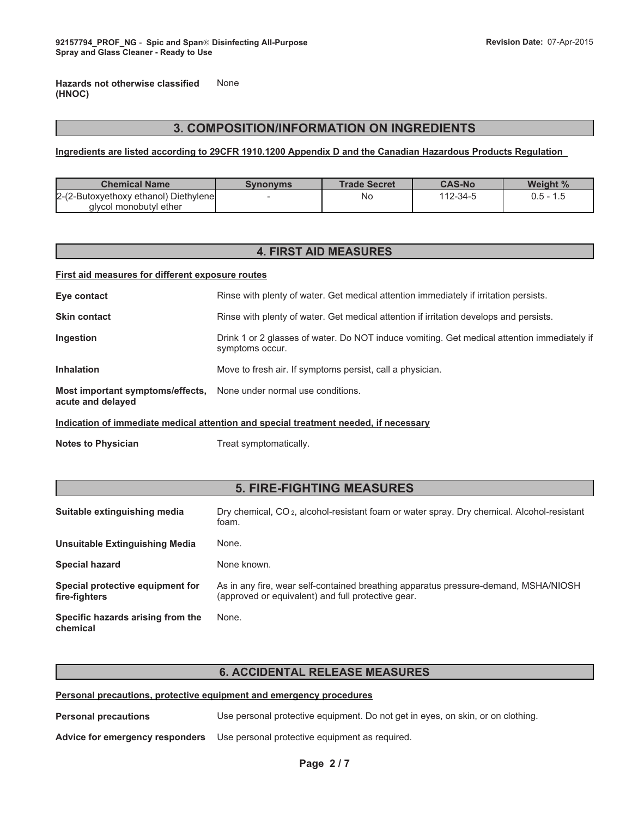**Hazards not otherwise classified (HNOC)** None

### **3. COMPOSITION/INFORMATION ON INGREDIENTS**

### **Ingredients are listed according to 29CFR 1910.1200 Appendix D and the Canadian Hazardous Products Regulation**

| <b>Chemical Name</b>                  | Synonyms | <b>Trade Secret</b> | <b>CAS-No</b> | Weight %    |
|---------------------------------------|----------|---------------------|---------------|-------------|
| 2-(2-Butoxyethoxy ethanol) Diethylene |          | No                  | 112-34-5      | $0.5 - 1.5$ |
| alvcol monobutyl ether                |          |                     |               |             |

## **4. FIRST AID MEASURES**

#### **First aid measures for different exposure routes**

| Eye contact                                           | Rinse with plenty of water. Get medical attention immediately if irritation persists.                          |
|-------------------------------------------------------|----------------------------------------------------------------------------------------------------------------|
| <b>Skin contact</b>                                   | Rinse with plenty of water. Get medical attention if irritation develops and persists.                         |
| Ingestion                                             | Drink 1 or 2 glasses of water. Do NOT induce vomiting. Get medical attention immediately if<br>symptoms occur. |
| <b>Inhalation</b>                                     | Move to fresh air. If symptoms persist, call a physician.                                                      |
| Most important symptoms/effects,<br>acute and delayed | None under normal use conditions.                                                                              |

### **Indication of immediate medical attention and special treatment needed, if necessary**

**Notes to Physician** Treat symptomatically.

# **5. FIRE-FIGHTING MEASURES**

| Suitable extinguishing media                      | Dry chemical, CO <sub>2</sub> , alcohol-resistant foam or water spray. Dry chemical. Alcohol-resistant<br>foam.                           |
|---------------------------------------------------|-------------------------------------------------------------------------------------------------------------------------------------------|
| Unsuitable Extinguishing Media                    | None.                                                                                                                                     |
| <b>Special hazard</b>                             | None known.                                                                                                                               |
| Special protective equipment for<br>fire-fighters | As in any fire, wear self-contained breathing apparatus pressure-demand, MSHA/NIOSH<br>(approved or equivalent) and full protective gear. |
| Specific hazards arising from the<br>chemical     | None.                                                                                                                                     |

## **6. ACCIDENTAL RELEASE MEASURES**

**Personal precautions, protective equipment and emergency procedures**

**Personal precautions** Use personal protective equipment. Do not get in eyes, on skin, or on clothing.

**Advice for emergency responders** Use personal protective equipment as required.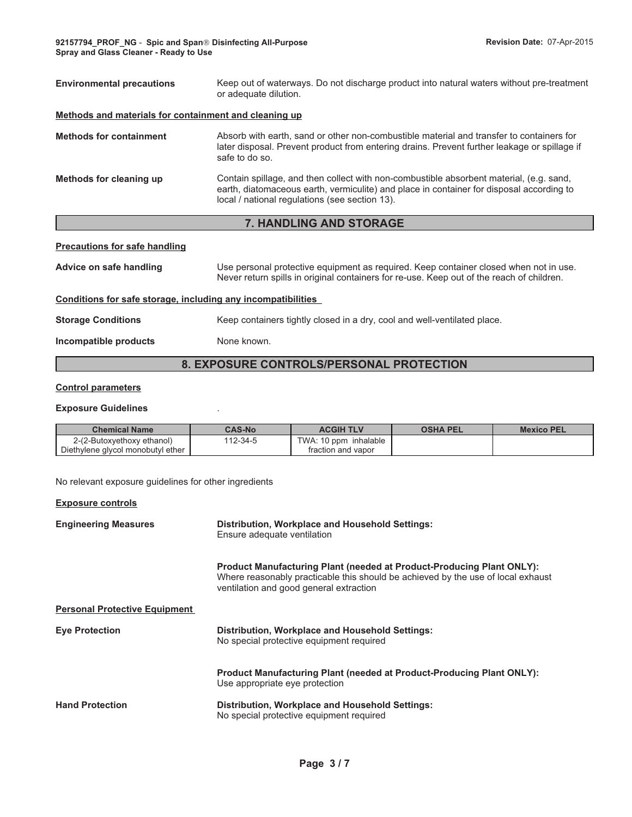| <b>Environmental precautions</b>                      | Keep out of waterways. Do not discharge product into natural waters without pre-treatment<br>or adequate dilution.                                                                                                                    |  |
|-------------------------------------------------------|---------------------------------------------------------------------------------------------------------------------------------------------------------------------------------------------------------------------------------------|--|
| Methods and materials for containment and cleaning up |                                                                                                                                                                                                                                       |  |
| <b>Methods for containment</b>                        | Absorb with earth, sand or other non-combustible material and transfer to containers for<br>later disposal. Prevent product from entering drains. Prevent further leakage or spillage if<br>safe to do so.                            |  |
| Methods for cleaning up                               | Contain spillage, and then collect with non-combustible absorbent material, (e.g. sand,<br>earth, diatomaceous earth, vermiculite) and place in container for disposal according to<br>local / national regulations (see section 13). |  |
| <b>7. HANDLING AND STORAGE</b>                        |                                                                                                                                                                                                                                       |  |
|                                                       |                                                                                                                                                                                                                                       |  |

### **Precautions for safe handling**

| Advice on safe handling                                      | Use personal protective equipment as required. Keep container closed when not in use.<br>Never return spills in original containers for re-use. Keep out of the reach of children. |  |  |
|--------------------------------------------------------------|------------------------------------------------------------------------------------------------------------------------------------------------------------------------------------|--|--|
| Conditions for safe storage, including any incompatibilities |                                                                                                                                                                                    |  |  |

# **Storage Conditions** Keep containers tightly closed in a dry, cool and well-ventilated place.

**Incompatible products** None known.

# **8. EXPOSURE CONTROLS/PERSONAL PROTECTION**

### **Control parameters**

### **Exposure Guidelines**

| <b>Chemical Name</b>              | <b>CAS-No</b> | <b>ACGIH TLV</b>      | <b>OSHA PEL</b> | <b>Mexico PEL</b> |
|-----------------------------------|---------------|-----------------------|-----------------|-------------------|
| 2-(2-Butoxyethoxy ethanol)        | $12 - 34 - 5$ | TWA: 10 ppm inhalable |                 |                   |
| Diethylene glycol monobutyl ether |               | fraction and vapor    |                 |                   |

No relevant exposure guidelines for other ingredients

| <b>Exposure controls</b>             |                                                                                                                                                                                                             |
|--------------------------------------|-------------------------------------------------------------------------------------------------------------------------------------------------------------------------------------------------------------|
| <b>Engineering Measures</b>          | Distribution, Workplace and Household Settings:<br>Ensure adequate ventilation                                                                                                                              |
|                                      | <b>Product Manufacturing Plant (needed at Product-Producing Plant ONLY):</b><br>Where reasonably practicable this should be achieved by the use of local exhaust<br>ventilation and good general extraction |
| <b>Personal Protective Equipment</b> |                                                                                                                                                                                                             |
| <b>Eye Protection</b>                | Distribution, Workplace and Household Settings:<br>No special protective equipment required                                                                                                                 |
|                                      | <b>Product Manufacturing Plant (needed at Product-Producing Plant ONLY):</b><br>Use appropriate eye protection                                                                                              |
| <b>Hand Protection</b>               | Distribution, Workplace and Household Settings:<br>No special protective equipment required                                                                                                                 |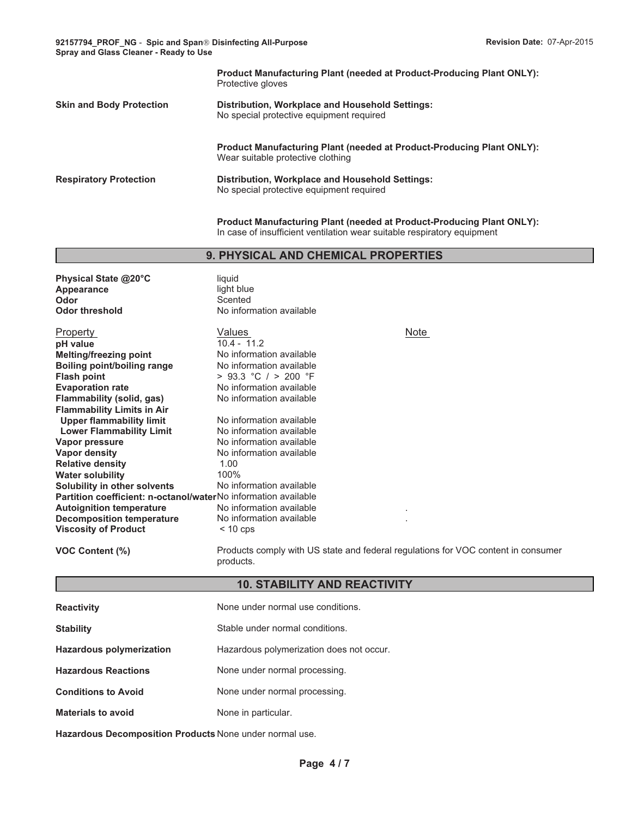**92157794\_PROF\_NG** - **Spic and Span- Disinfecting All-Purpose Spray and Glass Cleaner - Ready to Use**

|                                 | <b>Product Manufacturing Plant (needed at Product-Producing Plant ONLY):</b><br>Protective gloves                 |
|---------------------------------|-------------------------------------------------------------------------------------------------------------------|
| <b>Skin and Body Protection</b> | Distribution, Workplace and Household Settings:<br>No special protective equipment required                       |
|                                 | <b>Product Manufacturing Plant (needed at Product-Producing Plant ONLY):</b><br>Wear suitable protective clothing |
| <b>Respiratory Protection</b>   | Distribution, Workplace and Household Settings:<br>No special protective equipment required                       |

**Product Manufacturing Plant (needed at Product-Producing Plant ONLY):** In case of insufficient ventilation wear suitable respiratory equipment

# **9. PHYSICAL AND CHEMICAL PROPERTIES**

| Physical State @20°C                                           | liquid                                                                            |
|----------------------------------------------------------------|-----------------------------------------------------------------------------------|
| Appearance                                                     | light blue                                                                        |
| Odor                                                           | Scented                                                                           |
| <b>Odor threshold</b>                                          | No information available                                                          |
| Property                                                       | Values<br>Note                                                                    |
| pH value                                                       | $10.4 - 11.2$                                                                     |
| <b>Melting/freezing point</b>                                  | No information available                                                          |
| <b>Boiling point/boiling range</b>                             | No information available                                                          |
| <b>Flash point</b>                                             | $>$ 93.3 °C / $>$ 200 °F                                                          |
| <b>Evaporation rate</b>                                        | No information available                                                          |
| Flammability (solid, gas)                                      | No information available                                                          |
| <b>Flammability Limits in Air</b>                              |                                                                                   |
| <b>Upper flammability limit</b>                                | No information available                                                          |
| <b>Lower Flammability Limit</b>                                | No information available                                                          |
| Vapor pressure                                                 | No information available                                                          |
| <b>Vapor density</b>                                           | No information available                                                          |
| <b>Relative density</b>                                        | 1.00                                                                              |
| <b>Water solubility</b>                                        | 100%                                                                              |
| Solubility in other solvents                                   | No information available                                                          |
| Partition coefficient: n-octanol/waterNo information available |                                                                                   |
| <b>Autoignition temperature</b>                                | No information available                                                          |
| <b>Decomposition temperature</b>                               | No information available                                                          |
| <b>Viscosity of Product</b>                                    | $< 10$ cps                                                                        |
| <b>VOC Content (%)</b>                                         | Products comply with US state and federal regulations for VOC content in consumer |
|                                                                | products.                                                                         |
|                                                                | <b>10. STABILITY AND REACTIVITY</b>                                               |
| <b>Reactivity</b>                                              | None under normal use conditions.                                                 |
| <b>Stability</b>                                               | Stable under normal conditions.                                                   |
| <b>Hazardous polymerization</b>                                | Hazardous polymerization does not occur.                                          |
| <b>Hazardous Reactions</b>                                     | None under normal processing.                                                     |
| <b>Conditions to Avoid</b>                                     | None under normal processing.                                                     |
| <b>Materials to avoid</b>                                      | None in particular.                                                               |

**Hazardous Decomposition Products** None under normal use.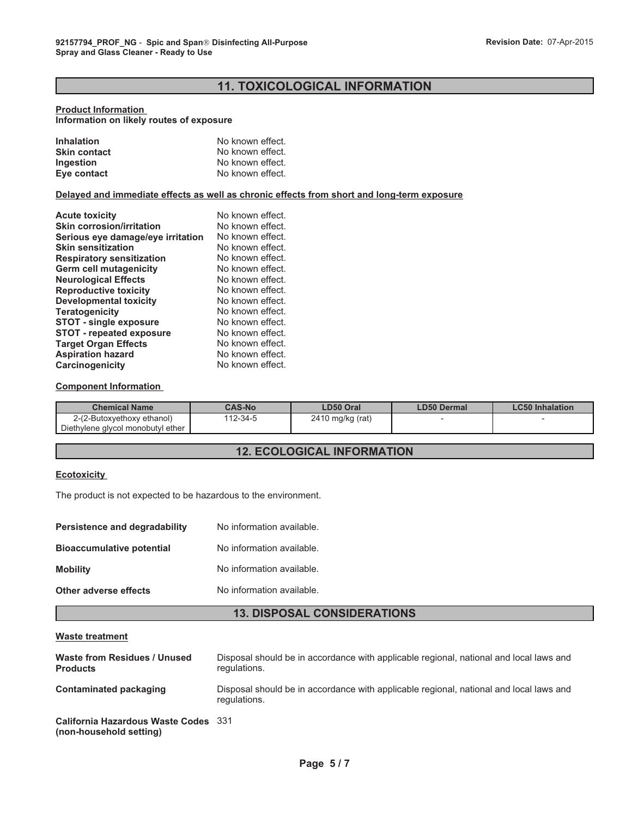# **11. TOXICOLOGICAL INFORMATION**

### **Product Information**

**Information on likely routes of exposure**

| No known effect. |
|------------------|
| No known effect. |
| No known effect. |
| No known effect. |
|                  |

**Delayed and immediate effects as well as chronic effects from short and long-term exposure**

| <b>Acute toxicity</b>             | No known effect. |
|-----------------------------------|------------------|
| <b>Skin corrosion/irritation</b>  | No known effect. |
| Serious eye damage/eye irritation | No known effect. |
| <b>Skin sensitization</b>         | No known effect. |
| <b>Respiratory sensitization</b>  | No known effect. |
| <b>Germ cell mutagenicity</b>     | No known effect. |
| <b>Neurological Effects</b>       | No known effect. |
| <b>Reproductive toxicity</b>      | No known effect. |
| <b>Developmental toxicity</b>     | No known effect. |
| <b>Teratogenicity</b>             | No known effect. |
| <b>STOT - single exposure</b>     | No known effect. |
| <b>STOT - repeated exposure</b>   | No known effect. |
| <b>Target Organ Effects</b>       | No known effect. |
| <b>Aspiration hazard</b>          | No known effect. |
| Carcinogenicity                   | No known effect. |

### **Component Information**

| <b>Chemical Name</b>                                            | <b>CAS-No</b> | LD50 Oral        | <b>LD50 Dermal</b> | <b>LC50 Inhalation</b> |
|-----------------------------------------------------------------|---------------|------------------|--------------------|------------------------|
| 2-(2-Butoxyethoxy ethanol)<br>Diethylene glycol monobutyl ether | 112-34-5      | 2410 mg/kg (rat) |                    |                        |

## **12. ECOLOGICAL INFORMATION**

### **Ecotoxicity**

The product is not expected to be hazardous to the environment.

| <b>Persistence and degradability</b> | No information available. |
|--------------------------------------|---------------------------|
| <b>Bioaccumulative potential</b>     | No information available. |
| <b>Mobility</b>                      | No information available. |
| Other adverse effects                | No information available. |

# **13. DISPOSAL CONSIDERATIONS**

### **Waste treatment**

| Waste from Residues / Unused<br><b>Products</b>                        | Disposal should be in accordance with applicable regional, national and local laws and<br>regulations. |
|------------------------------------------------------------------------|--------------------------------------------------------------------------------------------------------|
| Contaminated packaging                                                 | Disposal should be in accordance with applicable regional, national and local laws and<br>regulations. |
| <b>California Hazardous Waste Codes</b> 331<br>(non-household setting) |                                                                                                        |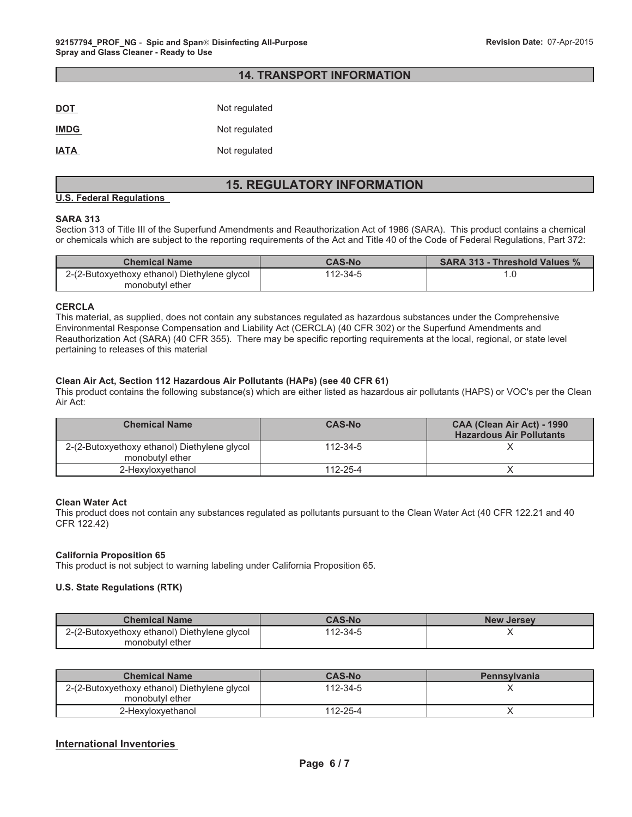### **14. TRANSPORT INFORMATION**

| <b>DOT</b>  | Not regulated |
|-------------|---------------|
| <b>IMDG</b> | Not regulated |
| <b>IATA</b> | Not regulated |

# **15. REGULATORY INFORMATION**

### **U.S. Federal Regulations**

### **SARA 313**

Section 313 of Title III of the Superfund Amendments and Reauthorization Act of 1986 (SARA). This product contains a chemical or chemicals which are subject to the reporting requirements of the Act and Title 40 of the Code of Federal Regulations, Part 372:

| <b>Chemical Name</b>                         | <b>CAS-No</b> | <b>SARA 313 - Threshold Values %</b> |
|----------------------------------------------|---------------|--------------------------------------|
| 2-(2-Butoxyethoxy ethanol) Diethylene glycol | 112-34-5      |                                      |
| monobutyl ether                              |               |                                      |

### **CERCLA**

This material, as supplied, does not contain any substances regulated as hazardous substances under the Comprehensive Environmental Response Compensation and Liability Act (CERCLA) (40 CFR 302) or the Superfund Amendments and Reauthorization Act (SARA) (40 CFR 355). There may be specific reporting requirements at the local, regional, or state level pertaining to releases of this material

### **Clean Air Act, Section 112 Hazardous Air Pollutants (HAPs) (see 40 CFR 61)**

This product contains the following substance(s) which are either listed as hazardous air pollutants (HAPS) or VOC's per the Clean Air Act:

| <b>Chemical Name</b>                                            | <b>CAS-No</b> | CAA (Clean Air Act) - 1990<br><b>Hazardous Air Pollutants</b> |
|-----------------------------------------------------------------|---------------|---------------------------------------------------------------|
| 2-(2-Butoxyethoxy ethanol) Diethylene glycol<br>monobutyl ether | 112-34-5      |                                                               |
| 2-Hexyloxyethanol                                               | 112-25-4      |                                                               |

### **Clean Water Act**

This product does not contain any substances regulated as pollutants pursuant to the Clean Water Act (40 CFR 122.21 and 40 CFR 122.42)

### **California Proposition 65**

This product is not subject to warning labeling under California Proposition 65.

### **U.S. State Regulations (RTK)**

| <b>CAS-No</b> | <b>New Jersey</b> |
|---------------|-------------------|
| 112-34-5      |                   |
|               |                   |

| <b>Chemical Name</b>                                            | <b>CAS-No</b> | <b>Pennsylvania</b> |
|-----------------------------------------------------------------|---------------|---------------------|
| 2-(2-Butoxyethoxy ethanol) Diethylene glycol<br>monobutyl ether | 112-34-5      |                     |
| 2-Hexyloxyethanol                                               | 112-25-4      |                     |

### **International Inventories**